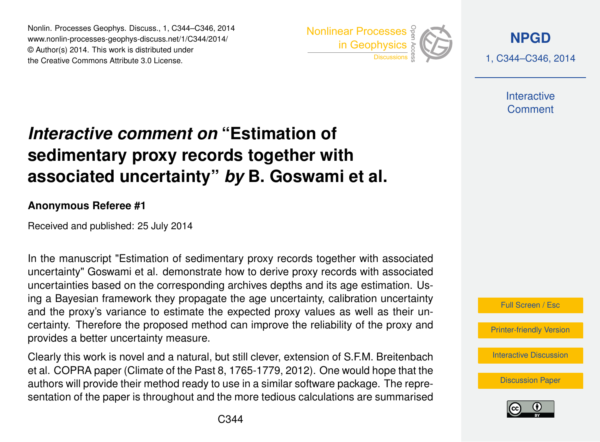Nonlin. Processes Geophys. Discuss., 1, C344–C346, 2014 www.nonlin-processes-geophys-discuss.net/1/C344/2014/ © Author(s) 2014. This work is distributed under Nonlin. Processes Geophys. Discuss., 1, C344–C346, 2014<br>www.nonlin-processes-geophys-discuss.net/1/C344/2014/<br>© Author(s) 2014. This work is distributed under<br>the Creative Commons Attribute 3.0 License.



**[NPGD](http://www.nonlin-processes-geophys-discuss.net)**

1, C344–C346, 2014

**Interactive** Comment

## *Interactive comment on* **"Estimation of sedimentary proxy records together with associated uncertainty"** *by* **B. Goswami et al.**

## **Anonymous Referee #1**

Received and published: 25 July 2014

In the manuscript "Estimation of sedimentary proxy records together with associated uncertainty" Goswami et al. demonstrate how to derive proxy records with associated uncertainties based on the corresponding archives depths and its age estimation. Using a Bayesian framework they propagate the age uncertainty, calibration uncertainty and the proxy's variance to estimate the expected proxy values as well as their uncertainty. Therefore the proposed method can improve the reliability of the proxy and provides a better uncertainty measure.

Clearly this work is novel and a natural, but still clever, extension of S.F.M. Breitenbach et al. COPRA paper (Climate of the Past 8, 1765-1779, 2012). One would hope that the authors will provide their method ready to use in a similar software package. The representation of the paper is throughout and the more tedious calculations are summarised



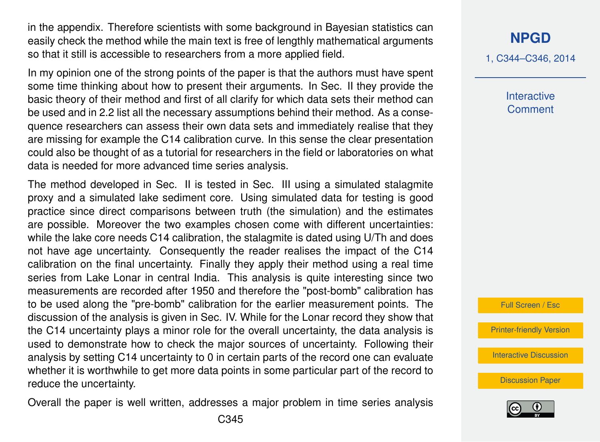in the appendix. Therefore scientists with some background in Bayesian statistics can easily check the method while the main text is free of lengthly mathematical arguments so that it still is accessible to researchers from a more applied field.

In my opinion one of the strong points of the paper is that the authors must have spent some time thinking about how to present their arguments. In Sec. II they provide the basic theory of their method and first of all clarify for which data sets their method can be used and in 2.2 list all the necessary assumptions behind their method. As a consequence researchers can assess their own data sets and immediately realise that they are missing for example the C14 calibration curve. In this sense the clear presentation could also be thought of as a tutorial for researchers in the field or laboratories on what data is needed for more advanced time series analysis.

The method developed in Sec. II is tested in Sec. III using a simulated stalagmite proxy and a simulated lake sediment core. Using simulated data for testing is good practice since direct comparisons between truth (the simulation) and the estimates are possible. Moreover the two examples chosen come with different uncertainties: while the lake core needs C14 calibration, the stalagmite is dated using U/Th and does not have age uncertainty. Consequently the reader realises the impact of the C14 calibration on the final uncertainty. Finally they apply their method using a real time series from Lake Lonar in central India. This analysis is quite interesting since two measurements are recorded after 1950 and therefore the "post-bomb" calibration has to be used along the "pre-bomb" calibration for the earlier measurement points. The discussion of the analysis is given in Sec. IV. While for the Lonar record they show that the C14 uncertainty plays a minor role for the overall uncertainty, the data analysis is used to demonstrate how to check the major sources of uncertainty. Following their analysis by setting C14 uncertainty to 0 in certain parts of the record one can evaluate whether it is worthwhile to get more data points in some particular part of the record to reduce the uncertainty.

Overall the paper is well written, addresses a major problem in time series analysis

1, C344–C346, 2014

**Interactive Comment** 



[Printer-friendly Version](http://www.nonlin-processes-geophys-discuss.net/1/C344/2014/npgd-1-C344-2014-print.pdf)

[Interactive Discussion](http://www.nonlin-processes-geophys-discuss.net/1/1023/2014/npgd-1-1023-2014-discussion.html)

[Discussion Paper](http://www.nonlin-processes-geophys-discuss.net/1/1023/2014/npgd-1-1023-2014.pdf)